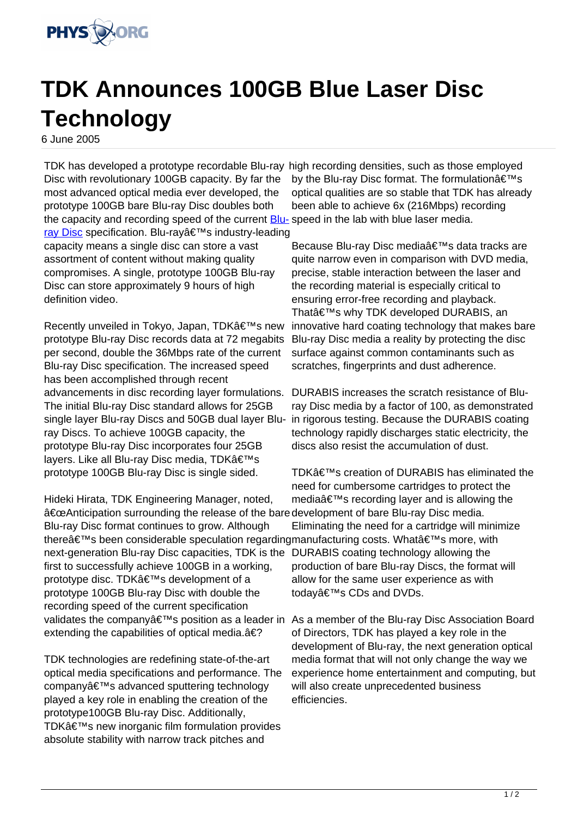

## **TDK Announces 100GB Blue Laser Disc Technology**

6 June 2005

TDK has developed a prototype recordable Blu-ray high recording densities, such as those employed Disc with revolutionary 100GB capacity. By far the most advanced optical media ever developed, the prototype 100GB bare Blu-ray Disc doubles both the capacity and recording speed of the current **Blu-** speed in the lab with blue laser media. [ray Disc](http://www.physorg.com/search/Blu-ray Disc) specification. Blu-ray's industry-leading capacity means a single disc can store a vast

assortment of content without making quality compromises. A single, prototype 100GB Blu-ray Disc can store approximately 9 hours of high definition video.

Recently unveiled in Tokvo, Japan, TDK's new prototype Blu-ray Disc records data at 72 megabits per second, double the 36Mbps rate of the current Blu-ray Disc specification. The increased speed has been accomplished through recent advancements in disc recording layer formulations. The initial Blu-ray Disc standard allows for 25GB single layer Blu-ray Discs and 50GB dual layer Bluray Discs. To achieve 100GB capacity, the prototype Blu-ray Disc incorporates four 25GB layers. Like all Blu-ray Disc media, TDK's prototype 100GB Blu-ray Disc is single sided.

Hideki Hirata, TDK Engineering Manager, noted, "Anticipation surrounding the release of the baredevelopment of bare Blu-ray Disc media. Blu-ray Disc format continues to grow. Although there's been considerable speculation regardingmanufacturing costs. What's more, with next-generation Blu-ray Disc capacities, TDK is the DURABIS coating technology allowing the first to successfully achieve 100GB in a working, prototype disc. TDK's development of a prototype 100GB Blu-ray Disc with double the recording speed of the current specification validates the company's position as a leader in As a member of the Blu-ray Disc Association Board extending the capabilities of optical media. $\hat{a} \in ?$ 

TDK technologies are redefining state-of-the-art optical media specifications and performance. The companyâ€<sup>™</sup>s advanced sputtering technology played a key role in enabling the creation of the prototype100GB Blu-ray Disc. Additionally, TDK's new inorganic film formulation provides absolute stability with narrow track pitches and

by the Blu-ray Disc format. The formulation $\hat{a} \in T^{M}$ s optical qualities are so stable that TDK has already been able to achieve 6x (216Mbps) recording

Because Blu-ray Disc media's data tracks are quite narrow even in comparison with DVD media, precise, stable interaction between the laser and the recording material is especially critical to ensuring error-free recording and playback. That's why TDK developed DURABIS, an innovative hard coating technology that makes bare Blu-ray Disc media a reality by protecting the disc surface against common contaminants such as scratches, fingerprints and dust adherence.

DURABIS increases the scratch resistance of Bluray Disc media by a factor of 100, as demonstrated in rigorous testing. Because the DURABIS coating technology rapidly discharges static electricity, the discs also resist the accumulation of dust.

TDK's creation of DURABIS has eliminated the need for cumbersome cartridges to protect the mediaâ€<sup>™</sup>s recording layer and is allowing the Eliminating the need for a cartridge will minimize production of bare Blu-ray Discs, the format will allow for the same user experience as with today's CDs and DVDs.

of Directors, TDK has played a key role in the development of Blu-ray, the next generation optical media format that will not only change the way we experience home entertainment and computing, but will also create unprecedented business efficiencies.